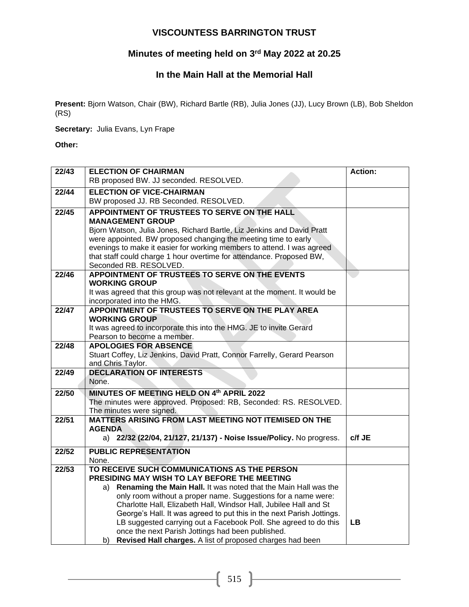# **VISCOUNTESS BARRINGTON TRUST**

### **Minutes of meeting held on 3 rd May 2022 at 20.25**

### **In the Main Hall at the Memorial Hall**

**Present:** Bjorn Watson, Chair (BW), Richard Bartle (RB), Julia Jones (JJ), Lucy Brown (LB), Bob Sheldon (RS)

**Secretary:** Julia Evans, Lyn Frape

**Other:** 

| 22/43 | <b>ELECTION OF CHAIRMAN</b>                                                                    | <b>Action:</b> |
|-------|------------------------------------------------------------------------------------------------|----------------|
|       | RB proposed BW. JJ seconded. RESOLVED.                                                         |                |
| 22/44 | <b>ELECTION OF VICE-CHAIRMAN</b>                                                               |                |
|       | BW proposed JJ. RB Seconded. RESOLVED.                                                         |                |
| 22/45 | APPOINTMENT OF TRUSTEES TO SERVE ON THE HALL                                                   |                |
|       | <b>MANAGEMENT GROUP</b>                                                                        |                |
|       | Bjorn Watson, Julia Jones, Richard Bartle, Liz Jenkins and David Pratt                         |                |
|       | were appointed. BW proposed changing the meeting time to early                                 |                |
|       | evenings to make it easier for working members to attend. I was agreed                         |                |
|       | that staff could charge 1 hour overtime for attendance. Proposed BW,<br>Seconded RB. RESOLVED. |                |
| 22/46 | APPOINTMENT OF TRUSTEES TO SERVE ON THE EVENTS                                                 |                |
|       | <b>WORKING GROUP</b>                                                                           |                |
|       | It was agreed that this group was not relevant at the moment. It would be                      |                |
|       | incorporated into the HMG.                                                                     |                |
| 22/47 | APPOINTMENT OF TRUSTEES TO SERVE ON THE PLAY AREA                                              |                |
|       | <b>WORKING GROUP</b>                                                                           |                |
|       | It was agreed to incorporate this into the HMG. JE to invite Gerard                            |                |
|       | Pearson to become a member.                                                                    |                |
| 22/48 | <b>APOLOGIES FOR ABSENCE</b>                                                                   |                |
|       | Stuart Coffey, Liz Jenkins, David Pratt, Connor Farrelly, Gerard Pearson<br>and Chris Taylor.  |                |
| 22/49 | <b>DECLARATION OF INTERESTS</b>                                                                |                |
|       | None.                                                                                          |                |
| 22/50 | MINUTES OF MEETING HELD ON 4th APRIL 2022                                                      |                |
|       | The minutes were approved. Proposed: RB, Seconded: RS. RESOLVED.                               |                |
|       | The minutes were signed.                                                                       |                |
| 22/51 | MATTERS ARISING FROM LAST MEETING NOT ITEMISED ON THE                                          |                |
|       | <b>AGENDA</b>                                                                                  |                |
|       | a) 22/32 (22/04, 21/127, 21/137) - Noise Issue/Policy. No progress.                            | c/f JE         |
| 22/52 | <b>PUBLIC REPRESENTATION</b>                                                                   |                |
|       | None.                                                                                          |                |
| 22/53 | TO RECEIVE SUCH COMMUNICATIONS AS THE PERSON<br>PRESIDING MAY WISH TO LAY BEFORE THE MEETING   |                |
|       | Renaming the Main Hall. It was noted that the Main Hall was the<br>a)                          |                |
|       | only room without a proper name. Suggestions for a name were:                                  |                |
|       | Charlotte Hall, Elizabeth Hall, Windsor Hall, Jubilee Hall and St                              |                |
|       | George's Hall. It was agreed to put this in the next Parish Jottings.                          |                |
|       | LB suggested carrying out a Facebook Poll. She agreed to do this                               | <b>LB</b>      |
|       | once the next Parish Jottings had been published.                                              |                |
|       | Revised Hall charges. A list of proposed charges had been<br>b)                                |                |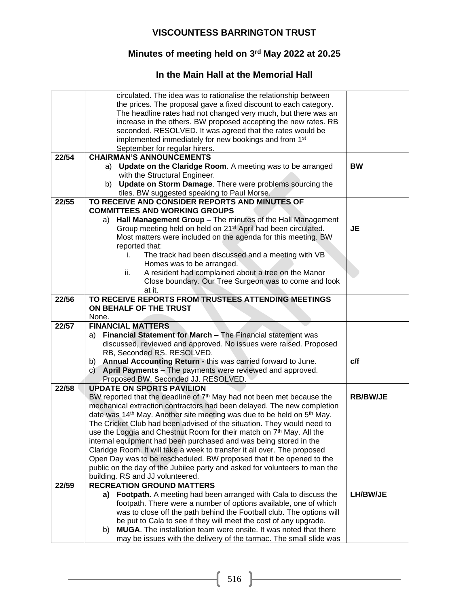# **VISCOUNTESS BARRINGTON TRUST**

### **Minutes of meeting held on 3 rd May 2022 at 20.25**

## **In the Main Hall at the Memorial Hall**

|       | circulated. The idea was to rationalise the relationship between                                                                              |                 |
|-------|-----------------------------------------------------------------------------------------------------------------------------------------------|-----------------|
|       | the prices. The proposal gave a fixed discount to each category.                                                                              |                 |
|       | The headline rates had not changed very much, but there was an                                                                                |                 |
|       | increase in the others. BW proposed accepting the new rates. RB                                                                               |                 |
|       | seconded. RESOLVED. It was agreed that the rates would be                                                                                     |                 |
|       | implemented immediately for new bookings and from 1 <sup>st</sup>                                                                             |                 |
|       | September for regular hirers.                                                                                                                 |                 |
| 22/54 | <b>CHAIRMAN'S ANNOUNCEMENTS</b>                                                                                                               |                 |
|       | a) Update on the Claridge Room. A meeting was to be arranged                                                                                  | <b>BW</b>       |
|       | with the Structural Engineer.                                                                                                                 |                 |
|       | b) Update on Storm Damage. There were problems sourcing the                                                                                   |                 |
|       | tiles. BW suggested speaking to Paul Morse.                                                                                                   |                 |
| 22/55 | TO RECEIVE AND CONSIDER REPORTS AND MINUTES OF                                                                                                |                 |
|       | <b>COMMITTEES AND WORKING GROUPS</b>                                                                                                          |                 |
|       |                                                                                                                                               |                 |
|       | Hall Management Group - The minutes of the Hall Management<br>a)<br>Group meeting held on held on 21 <sup>st</sup> April had been circulated. | JE              |
|       |                                                                                                                                               |                 |
|       | Most matters were included on the agenda for this meeting. BW                                                                                 |                 |
|       | reported that:<br>The track had been discussed and a meeting with VB<br>i.                                                                    |                 |
|       |                                                                                                                                               |                 |
|       | Homes was to be arranged.<br>A resident had complained about a tree on the Manor                                                              |                 |
|       | ii.<br>Close boundary. Our Tree Surgeon was to come and look                                                                                  |                 |
|       | at it.                                                                                                                                        |                 |
| 22/56 | TO RECEIVE REPORTS FROM TRUSTEES ATTENDING MEETINGS                                                                                           |                 |
|       | ON BEHALF OF THE TRUST                                                                                                                        |                 |
|       | None.                                                                                                                                         |                 |
| 22/57 | <b>FINANCIAL MATTERS</b>                                                                                                                      |                 |
|       |                                                                                                                                               |                 |
|       |                                                                                                                                               |                 |
|       | Financial Statement for March - The Financial statement was<br>a)                                                                             |                 |
|       | discussed, reviewed and approved. No issues were raised. Proposed                                                                             |                 |
|       | RB, Seconded RS. RESOLVED.                                                                                                                    |                 |
|       | Annual Accounting Return - this was carried forward to June.<br>b)                                                                            | c/f             |
|       | April Payments - The payments were reviewed and approved.<br>C)                                                                               |                 |
|       | Proposed BW, Seconded JJ. RESOLVED.                                                                                                           |                 |
| 22/58 | <b>UPDATE ON SPORTS PAVILION</b>                                                                                                              |                 |
|       | BW reported that the deadline of 7 <sup>th</sup> May had not been met because the                                                             | <b>RB/BW/JE</b> |
|       | mechanical extraction contractors had been delayed. The new completion                                                                        |                 |
|       | date was 14 <sup>th</sup> May. Another site meeting was due to be held on 5 <sup>th</sup> May.                                                |                 |
|       | The Cricket Club had been advised of the situation. They would need to                                                                        |                 |
|       | use the Loggia and Chestnut Room for their match on 7 <sup>th</sup> May. All the                                                              |                 |
|       | internal equipment had been purchased and was being stored in the                                                                             |                 |
|       | Claridge Room. It will take a week to transfer it all over. The proposed                                                                      |                 |
|       | Open Day was to be rescheduled. BW proposed that it be opened to the                                                                          |                 |
|       | public on the day of the Jubilee party and asked for volunteers to man the                                                                    |                 |
| 22/59 | building. RS and JJ volunteered.<br><b>RECREATION GROUND MATTERS</b>                                                                          |                 |
|       | Footpath. A meeting had been arranged with Cala to discuss the<br>a) -                                                                        | LH/BW/JE        |
|       | footpath. There were a number of options available, one of which                                                                              |                 |
|       | was to close off the path behind the Football club. The options will                                                                          |                 |
|       | be put to Cala to see if they will meet the cost of any upgrade.                                                                              |                 |
|       | MUGA. The installation team were onsite. It was noted that there<br>b)                                                                        |                 |